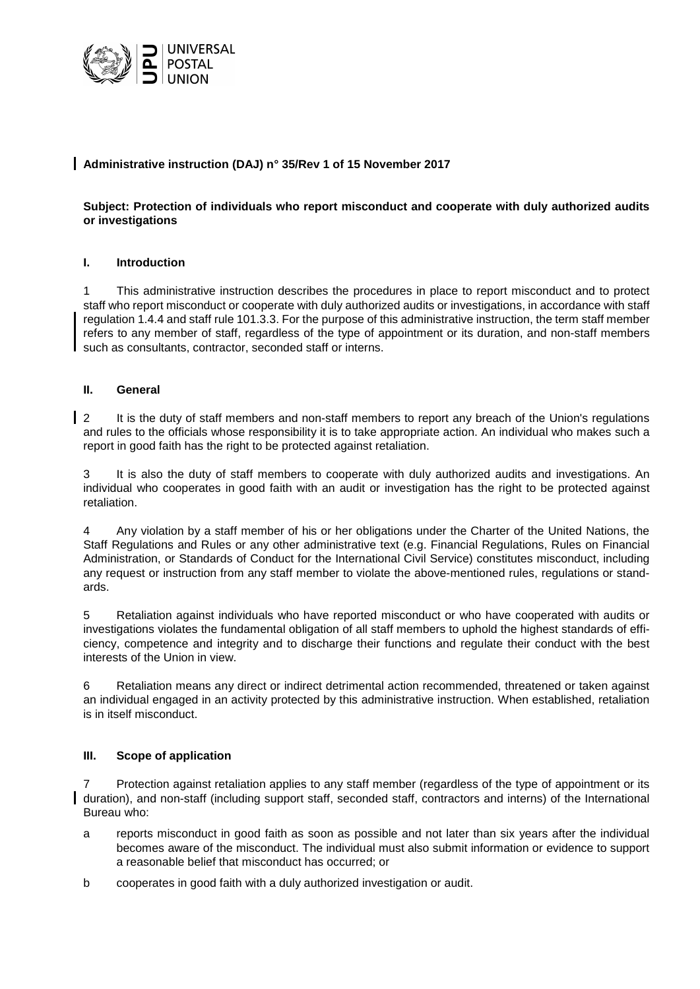

# **Administrative instruction (DAJ) n° 35/Rev 1 of 15 November 2017**

# **Subject: Protection of individuals who report misconduct and cooperate with duly authorized audits or investigations**

### **I. Introduction**

1 This administrative instruction describes the procedures in place to report misconduct and to protect staff who report misconduct or cooperate with duly authorized audits or investigations, in accordance with staff regulation 1.4.4 and staff rule 101.3.3. For the purpose of this administrative instruction, the term staff member refers to any member of staff, regardless of the type of appointment or its duration, and non-staff members such as consultants, contractor, seconded staff or interns.

### **II. General**

1 2 It is the duty of staff members and non-staff members to report any breach of the Union's regulations and rules to the officials whose responsibility it is to take appropriate action. An individual who makes such a report in good faith has the right to be protected against retaliation.

3 It is also the duty of staff members to cooperate with duly authorized audits and investigations. An individual who cooperates in good faith with an audit or investigation has the right to be protected against retaliation.

4 Any violation by a staff member of his or her obligations under the Charter of the United Nations, the Staff Regulations and Rules or any other administrative text (e.g. Financial Regulations, Rules on Financial Administration, or Standards of Conduct for the International Civil Service) constitutes misconduct, including any request or instruction from any staff member to violate the above-mentioned rules, regulations or standards.

5 Retaliation against individuals who have reported misconduct or who have cooperated with audits or investigations violates the fundamental obligation of all staff members to uphold the highest standards of efficiency, competence and integrity and to discharge their functions and regulate their conduct with the best interests of the Union in view.

6 Retaliation means any direct or indirect detrimental action recommended, threatened or taken against an individual engaged in an activity protected by this administrative instruction. When established, retaliation is in itself misconduct.

# **III. Scope of application**

7 Protection against retaliation applies to any staff member (regardless of the type of appointment or its duration), and non-staff (including support staff, seconded staff, contractors and interns) of the International Bureau who:

- a reports misconduct in good faith as soon as possible and not later than six years after the individual becomes aware of the misconduct. The individual must also submit information or evidence to support a reasonable belief that misconduct has occurred; or
- b cooperates in good faith with a duly authorized investigation or audit.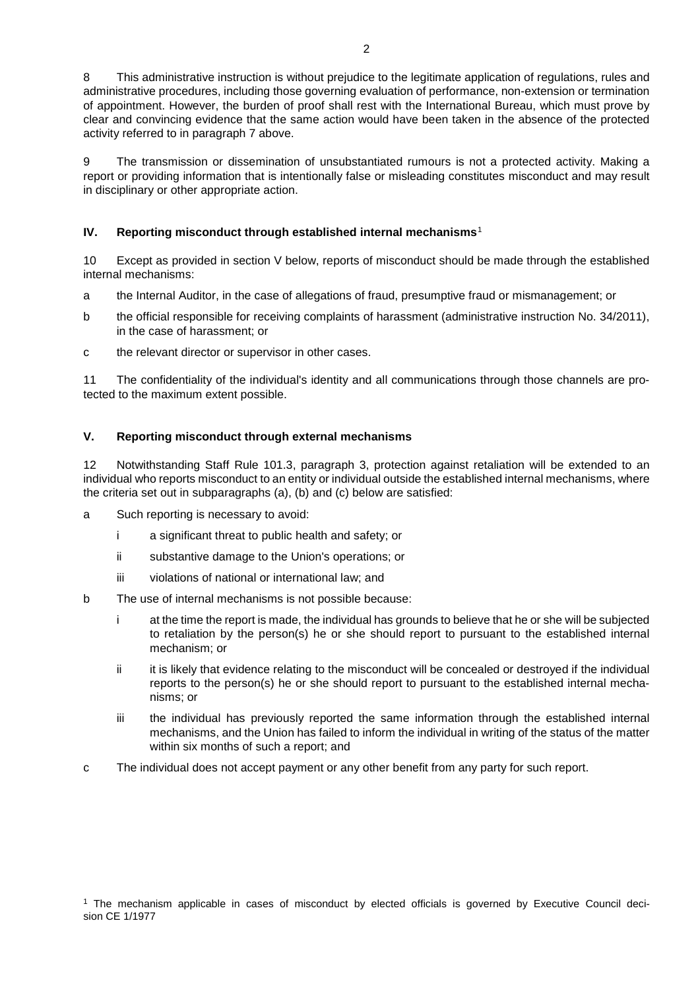8 This administrative instruction is without prejudice to the legitimate application of regulations, rules and administrative procedures, including those governing evaluation of performance, non-extension or termination of appointment. However, the burden of proof shall rest with the International Bureau, which must prove by clear and convincing evidence that the same action would have been taken in the absence of the protected activity referred to in paragraph 7 above.

9 The transmission or dissemination of unsubstantiated rumours is not a protected activity. Making a report or providing information that is intentionally false or misleading constitutes misconduct and may result in disciplinary or other appropriate action.

## **IV. Reporting misconduct through established internal mechanisms**[1](#page-1-0)

10 Except as provided in section V below, reports of misconduct should be made through the established internal mechanisms:

- a the Internal Auditor, in the case of allegations of fraud, presumptive fraud or mismanagement; or
- b the official responsible for receiving complaints of harassment (administrative instruction No. 34/2011), in the case of harassment; or
- c the relevant director or supervisor in other cases.

11 The confidentiality of the individual's identity and all communications through those channels are protected to the maximum extent possible.

### **V. Reporting misconduct through external mechanisms**

12 Notwithstanding Staff Rule 101.3, paragraph 3, protection against retaliation will be extended to an individual who reports misconduct to an entity or individual outside the established internal mechanisms, where the criteria set out in subparagraphs (a), (b) and (c) below are satisfied:

- a Such reporting is necessary to avoid:
	- i a significant threat to public health and safety; or
	- ii substantive damage to the Union's operations; or
	- iii violations of national or international law; and
- b The use of internal mechanisms is not possible because:
	- i at the time the report is made, the individual has grounds to believe that he or she will be subjected to retaliation by the person(s) he or she should report to pursuant to the established internal mechanism; or
	- ii it is likely that evidence relating to the misconduct will be concealed or destroyed if the individual reports to the person(s) he or she should report to pursuant to the established internal mechanisms; or
	- iii the individual has previously reported the same information through the established internal mechanisms, and the Union has failed to inform the individual in writing of the status of the matter within six months of such a report; and
- <span id="page-1-0"></span>c The individual does not accept payment or any other benefit from any party for such report.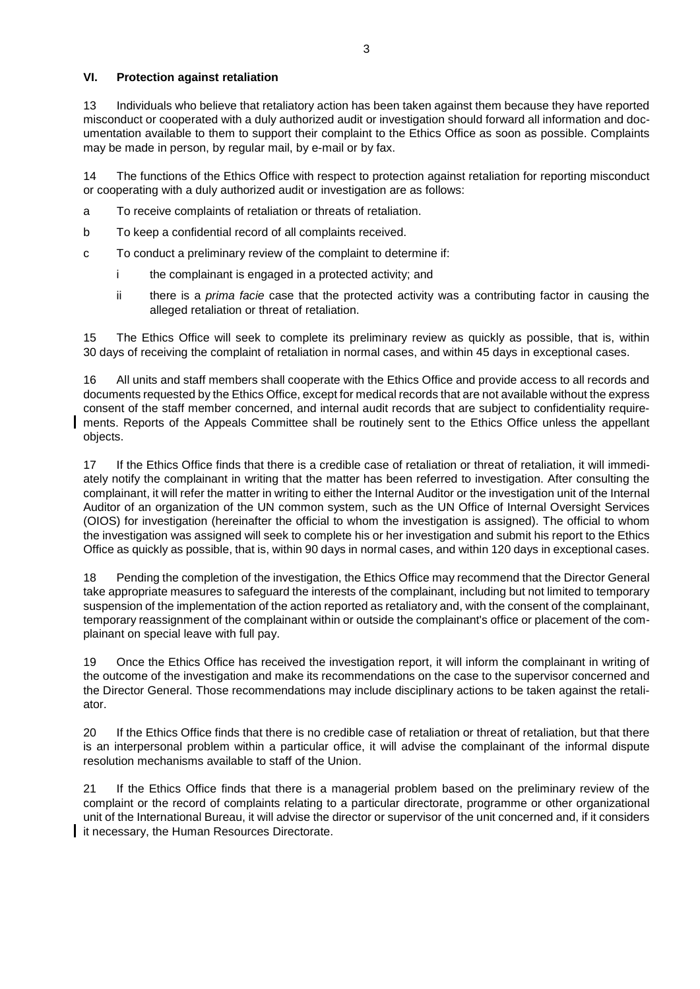### **VI. Protection against retaliation**

13 Individuals who believe that retaliatory action has been taken against them because they have reported misconduct or cooperated with a duly authorized audit or investigation should forward all information and documentation available to them to support their complaint to the Ethics Office as soon as possible. Complaints may be made in person, by regular mail, by e-mail or by fax.

14 The functions of the Ethics Office with respect to protection against retaliation for reporting misconduct or cooperating with a duly authorized audit or investigation are as follows:

- a To receive complaints of retaliation or threats of retaliation.
- b To keep a confidential record of all complaints received.
- c To conduct a preliminary review of the complaint to determine if:
	- i the complainant is engaged in a protected activity; and
	- ii there is a *prima facie* case that the protected activity was a contributing factor in causing the alleged retaliation or threat of retaliation.

15 The Ethics Office will seek to complete its preliminary review as quickly as possible, that is, within 30 days of receiving the complaint of retaliation in normal cases, and within 45 days in exceptional cases.

16 All units and staff members shall cooperate with the Ethics Office and provide access to all records and documents requested by the Ethics Office, except for medical records that are not available without the express consent of the staff member concerned, and internal audit records that are subject to confidentiality requirements. Reports of the Appeals Committee shall be routinely sent to the Ethics Office unless the appellant objects.

17 If the Ethics Office finds that there is a credible case of retaliation or threat of retaliation, it will immediately notify the complainant in writing that the matter has been referred to investigation. After consulting the complainant, it will refer the matter in writing to either the Internal Auditor or the investigation unit of the Internal Auditor of an organization of the UN common system, such as the UN Office of Internal Oversight Services (OIOS) for investigation (hereinafter the official to whom the investigation is assigned). The official to whom the investigation was assigned will seek to complete his or her investigation and submit his report to the Ethics Office as quickly as possible, that is, within 90 days in normal cases, and within 120 days in exceptional cases.

18 Pending the completion of the investigation, the Ethics Office may recommend that the Director General take appropriate measures to safeguard the interests of the complainant, including but not limited to temporary suspension of the implementation of the action reported as retaliatory and, with the consent of the complainant, temporary reassignment of the complainant within or outside the complainant's office or placement of the complainant on special leave with full pay.

19 Once the Ethics Office has received the investigation report, it will inform the complainant in writing of the outcome of the investigation and make its recommendations on the case to the supervisor concerned and the Director General. Those recommendations may include disciplinary actions to be taken against the retaliator.

20 If the Ethics Office finds that there is no credible case of retaliation or threat of retaliation, but that there is an interpersonal problem within a particular office, it will advise the complainant of the informal dispute resolution mechanisms available to staff of the Union.

21 If the Ethics Office finds that there is a managerial problem based on the preliminary review of the complaint or the record of complaints relating to a particular directorate, programme or other organizational unit of the International Bureau, it will advise the director or supervisor of the unit concerned and, if it considers it necessary, the Human Resources Directorate.